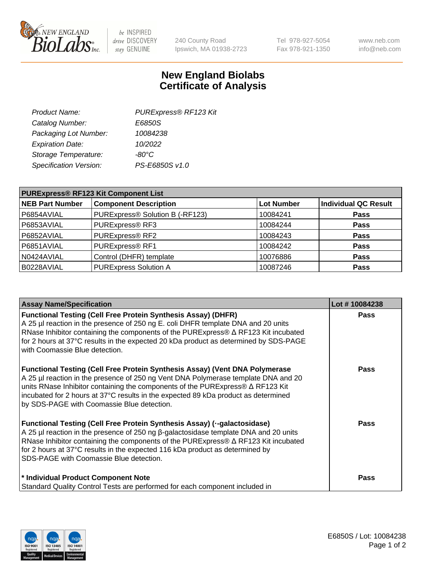

 $be$  INSPIRED drive DISCOVERY stay GENUINE

240 County Road Ipswich, MA 01938-2723 Tel 978-927-5054 Fax 978-921-1350 www.neb.com info@neb.com

## **New England Biolabs Certificate of Analysis**

| Product Name:           | PURExpress® RF123 Kit |
|-------------------------|-----------------------|
| Catalog Number:         | E6850S                |
| Packaging Lot Number:   | 10084238              |
| <b>Expiration Date:</b> | 10/2022               |
| Storage Temperature:    | $-80^{\circ}$ C       |
| Specification Version:  | PS-E6850S v1.0        |
|                         |                       |

| <b>PURExpress® RF123 Kit Component List</b> |                                 |                   |                             |  |
|---------------------------------------------|---------------------------------|-------------------|-----------------------------|--|
| <b>NEB Part Number</b>                      | <b>Component Description</b>    | <b>Lot Number</b> | <b>Individual QC Result</b> |  |
| P6854AVIAL                                  | PURExpress® Solution B (-RF123) | 10084241          | <b>Pass</b>                 |  |
| P6853AVIAL                                  | PURExpress® RF3                 | 10084244          | <b>Pass</b>                 |  |
| P6852AVIAL                                  | PURExpress® RF2                 | 10084243          | <b>Pass</b>                 |  |
| P6851AVIAL                                  | PURExpress® RF1                 | 10084242          | <b>Pass</b>                 |  |
| N0424AVIAL                                  | Control (DHFR) template         | 10076886          | <b>Pass</b>                 |  |
| B0228AVIAL                                  | <b>PURExpress Solution A</b>    | 10087246          | <b>Pass</b>                 |  |

| <b>Assay Name/Specification</b>                                                                                                                                                                                                                                                                                                                                                                 | Lot #10084238 |
|-------------------------------------------------------------------------------------------------------------------------------------------------------------------------------------------------------------------------------------------------------------------------------------------------------------------------------------------------------------------------------------------------|---------------|
| <b>Functional Testing (Cell Free Protein Synthesis Assay) (DHFR)</b><br>A 25 µl reaction in the presence of 250 ng E. coli DHFR template DNA and 20 units<br>RNase Inhibitor containing the components of the PURExpress® ∆ RF123 Kit incubated<br>for 2 hours at 37°C results in the expected 20 kDa product as determined by SDS-PAGE<br>with Coomassie Blue detection.                       | <b>Pass</b>   |
| Functional Testing (Cell Free Protein Synthesis Assay) (Vent DNA Polymerase<br>A 25 µl reaction in the presence of 250 ng Vent DNA Polymerase template DNA and 20<br>units RNase Inhibitor containing the components of the PURExpress® ∆ RF123 Kit<br>incubated for 2 hours at 37°C results in the expected 89 kDa product as determined<br>by SDS-PAGE with Coomassie Blue detection.         | <b>Pass</b>   |
| Functional Testing (Cell Free Protein Synthesis Assay) (--galactosidase)<br>A 25 µl reaction in the presence of 250 ng $\beta$ -galactosidase template DNA and 20 units<br>RNase Inhibitor containing the components of the PURExpress® $\Delta$ RF123 Kit incubated<br>for 2 hours at 37°C results in the expected 116 kDa product as determined by<br>SDS-PAGE with Coomassie Blue detection. | <b>Pass</b>   |
| * Individual Product Component Note<br>Standard Quality Control Tests are performed for each component included in                                                                                                                                                                                                                                                                              | <b>Pass</b>   |